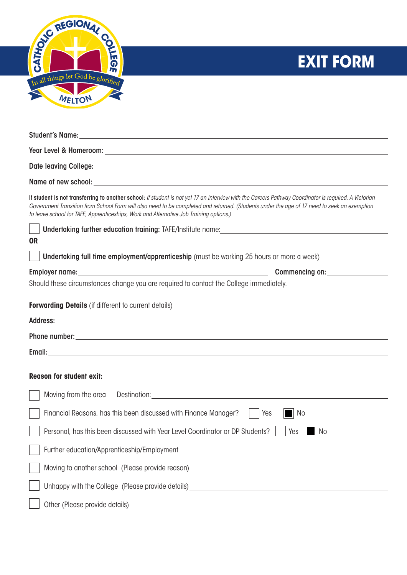

## **EXIT FORM**

| Date leaving College: 1999 College: 1999 College: 1999 College: 1999 College: 1999 College: 1999 College: 1999                                                                                                                                                                                                                                                                                 |  |  |
|------------------------------------------------------------------------------------------------------------------------------------------------------------------------------------------------------------------------------------------------------------------------------------------------------------------------------------------------------------------------------------------------|--|--|
|                                                                                                                                                                                                                                                                                                                                                                                                |  |  |
| If student is not transferring to another school: If student is not yet 17 an interview with the Careers Pathway Coordinator is required. A Victorian<br>Government Transition from School Form will also need to be completed and returned. (Students under the age of 17 need to seek an exemption<br>to leave school for TAFE, Apprenticeships, Work and Alternative Job Training options.) |  |  |
|                                                                                                                                                                                                                                                                                                                                                                                                |  |  |
| <b>OR</b>                                                                                                                                                                                                                                                                                                                                                                                      |  |  |
| Undertaking full time employment/apprenticeship (must be working 25 hours or more a week)                                                                                                                                                                                                                                                                                                      |  |  |
| Employer name: the contract of the contract of the contract of the contract of the contract of the contract of the contract of the contract of the contract of the contract of the contract of the contract of the contract of<br><b>Commencing on:</b>                                                                                                                                        |  |  |
| Should these circumstances change you are required to contact the College immediately.                                                                                                                                                                                                                                                                                                         |  |  |
| <b>Forwarding Details</b> (if different to current details)                                                                                                                                                                                                                                                                                                                                    |  |  |
| Address: Address: Address: Address: Address: Address: Address: Address: Address: Address: Address: A                                                                                                                                                                                                                                                                                           |  |  |
|                                                                                                                                                                                                                                                                                                                                                                                                |  |  |
|                                                                                                                                                                                                                                                                                                                                                                                                |  |  |
|                                                                                                                                                                                                                                                                                                                                                                                                |  |  |
| <b>Reason for student exit:</b>                                                                                                                                                                                                                                                                                                                                                                |  |  |
| Moving from the area                                                                                                                                                                                                                                                                                                                                                                           |  |  |
| Financial Reasons, has this been discussed with Finance Manager?<br>Yes<br>  No                                                                                                                                                                                                                                                                                                                |  |  |
| Personal, has this been discussed with Year Level Coordinator or DP Students?<br>Yes<br>  No                                                                                                                                                                                                                                                                                                   |  |  |
| Further education/Apprenticeship/Employment                                                                                                                                                                                                                                                                                                                                                    |  |  |
| Moving to another school (Please provide reason)                                                                                                                                                                                                                                                                                                                                               |  |  |
| Unhappy with the College (Please provide details) _______________________________                                                                                                                                                                                                                                                                                                              |  |  |
|                                                                                                                                                                                                                                                                                                                                                                                                |  |  |